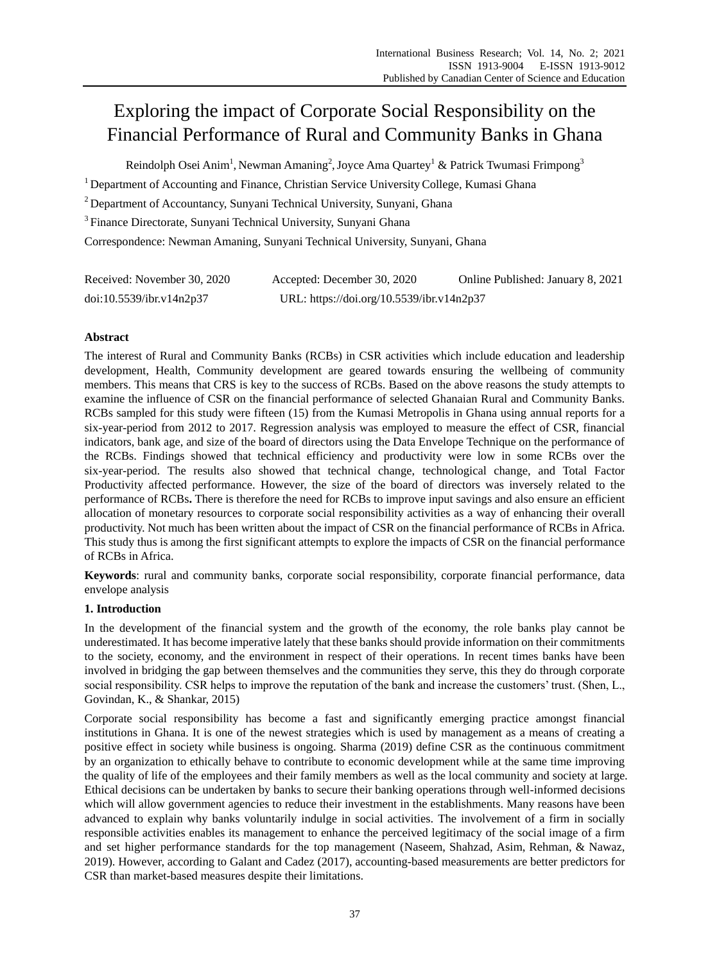# Exploring the impact of Corporate Social Responsibility on the Financial Performance of Rural and Community Banks in Ghana

Reindolph Osei Anim<sup>1</sup>, Newman Amaning<sup>2</sup>, Joyce Ama Quartey<sup>1</sup> & Patrick Twumasi Frimpong<sup>3</sup>

<sup>1</sup> Department of Accounting and Finance, Christian Service University College, Kumasi Ghana

<sup>2</sup> Department of Accountancy, Sunyani Technical University, Sunyani, Ghana

<sup>3</sup>Finance Directorate, Sunyani Technical University, Sunyani Ghana

Correspondence: Newman Amaning, Sunyani Technical University, Sunyani, Ghana

| Received: November 30, 2020 | Accepted: December 30, 2020               | Online Published: January 8, 2021 |
|-----------------------------|-------------------------------------------|-----------------------------------|
| doi:10.5539/ibr.v14n2p37    | URL: https://doi.org/10.5539/ibr.v14n2p37 |                                   |

# **Abstract**

The interest of Rural and Community Banks (RCBs) in CSR activities which include education and leadership development, Health, Community development are geared towards ensuring the wellbeing of community members. This means that CRS is key to the success of RCBs. Based on the above reasons the study attempts to examine the influence of CSR on the financial performance of selected Ghanaian Rural and Community Banks. RCBs sampled for this study were fifteen (15) from the Kumasi Metropolis in Ghana using annual reports for a six-year-period from 2012 to 2017. Regression analysis was employed to measure the effect of CSR, financial indicators, bank age, and size of the board of directors using the Data Envelope Technique on the performance of the RCBs. Findings showed that technical efficiency and productivity were low in some RCBs over the six-year-period. The results also showed that technical change, technological change, and Total Factor Productivity affected performance. However, the size of the board of directors was inversely related to the performance of RCBs**.** There is therefore the need for RCBs to improve input savings and also ensure an efficient allocation of monetary resources to corporate social responsibility activities as a way of enhancing their overall productivity. Not much has been written about the impact of CSR on the financial performance of RCBs in Africa. This study thus is among the first significant attempts to explore the impacts of CSR on the financial performance of RCBs in Africa.

**Keywords**: rural and community banks, corporate social responsibility, corporate financial performance, data envelope analysis

# **1. Introduction**

In the development of the financial system and the growth of the economy, the role banks play cannot be underestimated. It has become imperative lately that these banks should provide information on their commitments to the society, economy, and the environment in respect of their operations. In recent times banks have been involved in bridging the gap between themselves and the communities they serve, this they do through corporate social responsibility. CSR helps to improve the reputation of the bank and increase the customers' trust. (Shen, L., Govindan, K., & Shankar, 2015)

Corporate social responsibility has become a fast and significantly emerging practice amongst financial institutions in Ghana. It is one of the newest strategies which is used by management as a means of creating a positive effect in society while business is ongoing. Sharma (2019) define CSR as the continuous commitment by an organization to ethically behave to contribute to economic development while at the same time improving the quality of life of the employees and their family members as well as the local community and society at large. Ethical decisions can be undertaken by banks to secure their banking operations through well-informed decisions which will allow government agencies to reduce their investment in the establishments. Many reasons have been advanced to explain why banks voluntarily indulge in social activities. The involvement of a firm in socially responsible activities enables its management to enhance the perceived legitimacy of the social image of a firm and set higher performance standards for the top management (Naseem, Shahzad, Asim, Rehman, & Nawaz, 2019). However, according to Galant and Cadez (2017), accounting-based measurements are better predictors for CSR than market-based measures despite their limitations.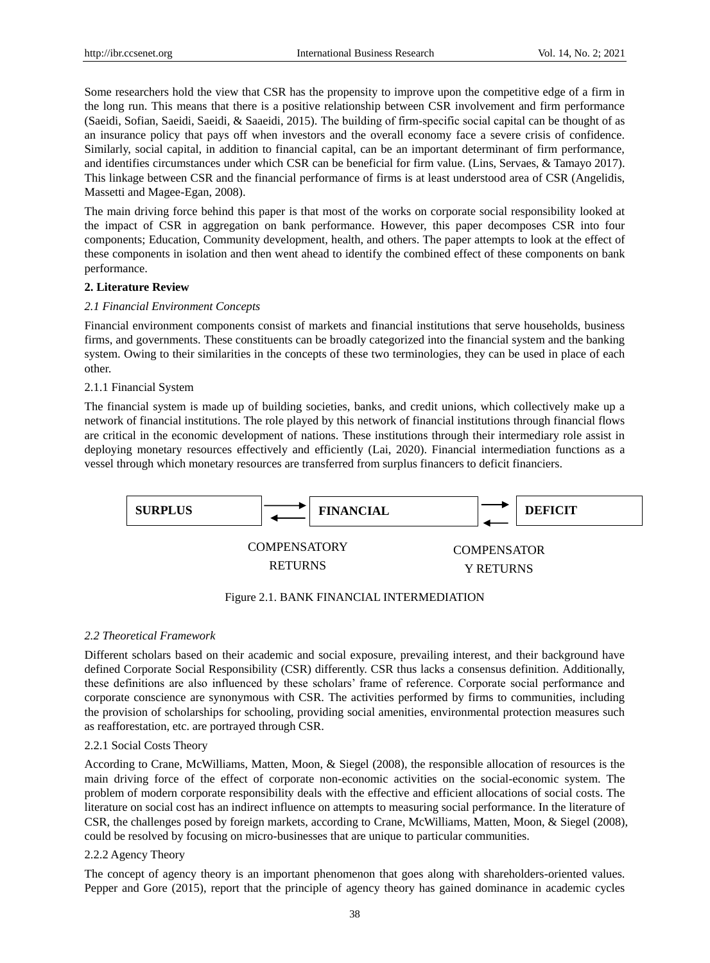Some researchers hold the view that CSR has the propensity to improve upon the competitive edge of a firm in the long run. This means that there is a positive relationship between CSR involvement and firm performance (Saeidi, Sofian, Saeidi, Saeidi, & Saaeidi, 2015). The building of firm‐specific social capital can be thought of as an insurance policy that pays off when investors and the overall economy face a severe crisis of confidence. Similarly, social capital, in addition to financial capital, can be an important determinant of firm performance, and identifies circumstances under which CSR can be beneficial for firm value. (Lins, Servaes, & Tamayo 2017). This linkage between CSR and the financial performance of firms is at least understood area of CSR (Angelidis, Massetti and Magee-Egan, 2008).

The main driving force behind this paper is that most of the works on corporate social responsibility looked at the impact of CSR in aggregation on bank performance. However, this paper decomposes CSR into four components; Education, Community development, health, and others. The paper attempts to look at the effect of these components in isolation and then went ahead to identify the combined effect of these components on bank performance.

#### **2. Literature Review**

#### *2.1 Financial Environment Concepts*

Financial environment components consist of markets and financial institutions that serve households, business firms, and governments. These constituents can be broadly categorized into the financial system and the banking system. Owing to their similarities in the concepts of these two terminologies, they can be used in place of each other.

#### 2.1.1 Financial System

The financial system is made up of building societies, banks, and credit unions, which collectively make up a network of financial institutions. The role played by this network of financial institutions through financial flows are critical in the economic development of nations. These institutions through their intermediary role assist in deploying monetary resources effectively and efficiently (Lai, 2020). Financial intermediation functions as a vessel through which monetary resources are transferred from surplus financers to deficit financiers.



# Figure 2.1. BANK FINANCIAL INTERMEDIATION

#### *2.2 Theoretical Framework*

Different scholars based on their academic and social exposure, prevailing interest, and their background have defined Corporate Social Responsibility (CSR) differently. CSR thus lacks a consensus definition. Additionally, these definitions are also influenced by these scholars' frame of reference. Corporate social performance and corporate conscience are synonymous with CSR. The activities performed by firms to communities, including the provision of scholarships for schooling, providing social amenities, environmental protection measures such as reafforestation, etc. are portrayed through CSR.

#### 2.2.1 Social Costs Theory

According to Crane, McWilliams, Matten, Moon, & Siegel (2008), the responsible allocation of resources is the main driving force of the effect of corporate non-economic activities on the social-economic system. The problem of modern corporate responsibility deals with the effective and efficient allocations of social costs. The literature on social cost has an indirect influence on attempts to measuring social performance. In the literature of CSR, the challenges posed by foreign markets, according to Crane, McWilliams, Matten, Moon, & Siegel (2008), could be resolved by focusing on micro-businesses that are unique to particular communities.

#### 2.2.2 Agency Theory

The concept of agency theory is an important phenomenon that goes along with shareholders-oriented values. Pepper and Gore (2015), report that the principle of agency theory has gained dominance in academic cycles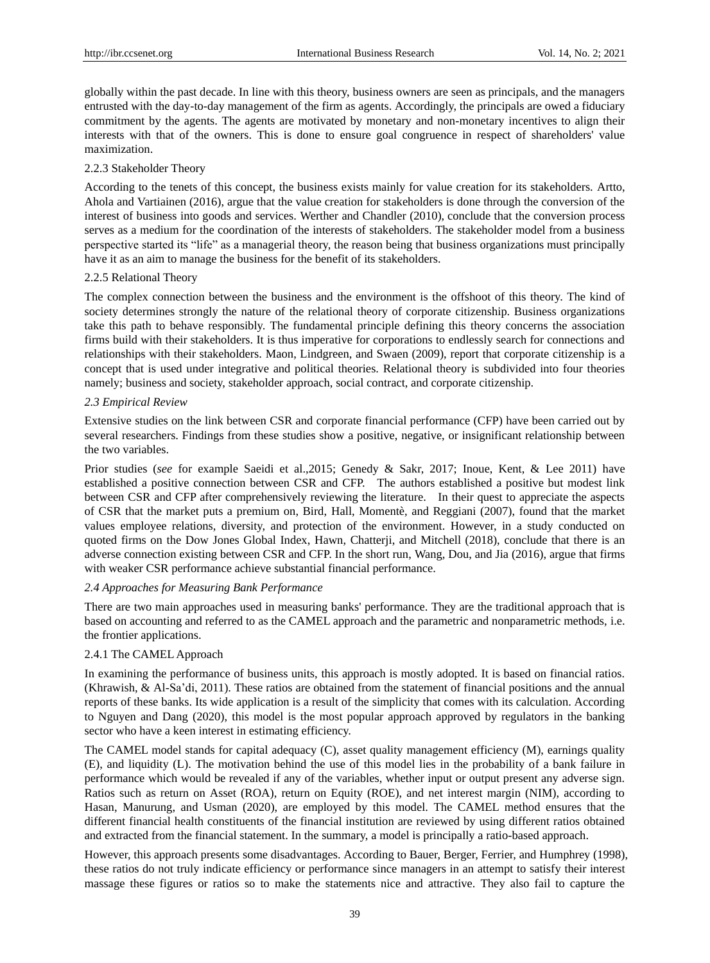globally within the past decade. In line with this theory, business owners are seen as principals, and the managers entrusted with the day-to-day management of the firm as agents. Accordingly, the principals are owed a fiduciary commitment by the agents. The agents are motivated by monetary and non-monetary incentives to align their interests with that of the owners. This is done to ensure goal congruence in respect of shareholders' value maximization.

# 2.2.3 Stakeholder Theory

According to the tenets of this concept, the business exists mainly for value creation for its stakeholders. Artto, Ahola and Vartiainen (2016), argue that the value creation for stakeholders is done through the conversion of the interest of business into goods and services. Werther and Chandler (2010), conclude that the conversion process serves as a medium for the coordination of the interests of stakeholders. The stakeholder model from a business perspective started its "life" as a managerial theory, the reason being that business organizations must principally have it as an aim to manage the business for the benefit of its stakeholders.

#### 2.2.5 Relational Theory

The complex connection between the business and the environment is the offshoot of this theory. The kind of society determines strongly the nature of the relational theory of corporate citizenship. Business organizations take this path to behave responsibly. The fundamental principle defining this theory concerns the association firms build with their stakeholders. It is thus imperative for corporations to endlessly search for connections and relationships with their stakeholders. Maon, Lindgreen, and Swaen (2009), report that corporate citizenship is a concept that is used under integrative and political theories. Relational theory is subdivided into four theories namely; business and society, stakeholder approach, social contract, and corporate citizenship.

#### *2.3 Empirical Review*

Extensive studies on the link between CSR and corporate financial performance (CFP) have been carried out by several researchers. Findings from these studies show a positive, negative, or insignificant relationship between the two variables.

Prior studies (*see* for example Saeidi et al.,2015; Genedy & Sakr, 2017; Inoue, Kent, & Lee 2011) have established a positive connection between CSR and CFP. The authors established a positive but modest link between CSR and CFP after comprehensively reviewing the literature. In their quest to appreciate the aspects of CSR that the market puts a premium on, Bird, Hall, Momentè, and Reggiani (2007), found that the market values employee relations, diversity, and protection of the environment. However, in a study conducted on quoted firms on the Dow Jones Global Index, Hawn, Chatterji, and Mitchell (2018), conclude that there is an adverse connection existing between CSR and CFP. In the short run, Wang, Dou, and Jia (2016), argue that firms with weaker CSR performance achieve substantial financial performance.

# *2.4 Approaches for Measuring Bank Performance*

There are two main approaches used in measuring banks' performance. They are the traditional approach that is based on accounting and referred to as the CAMEL approach and the parametric and nonparametric methods, i.e. the frontier applications.

# 2.4.1 The CAMEL Approach

In examining the performance of business units, this approach is mostly adopted. It is based on financial ratios. (Khrawish, & Al-Sa'di, 2011). These ratios are obtained from the statement of financial positions and the annual reports of these banks. Its wide application is a result of the simplicity that comes with its calculation. According to Nguyen and Dang (2020), this model is the most popular approach approved by regulators in the banking sector who have a keen interest in estimating efficiency.

The CAMEL model stands for capital adequacy (C), asset quality management efficiency (M), earnings quality (E), and liquidity (L). The motivation behind the use of this model lies in the probability of a bank failure in performance which would be revealed if any of the variables, whether input or output present any adverse sign. Ratios such as return on Asset (ROA), return on Equity (ROE), and net interest margin (NIM), according to Hasan, Manurung, and Usman (2020), are employed by this model. The CAMEL method ensures that the different financial health constituents of the financial institution are reviewed by using different ratios obtained and extracted from the financial statement. In the summary, a model is principally a ratio-based approach.

However, this approach presents some disadvantages. According to Bauer, Berger, Ferrier, and Humphrey (1998), these ratios do not truly indicate efficiency or performance since managers in an attempt to satisfy their interest massage these figures or ratios so to make the statements nice and attractive. They also fail to capture the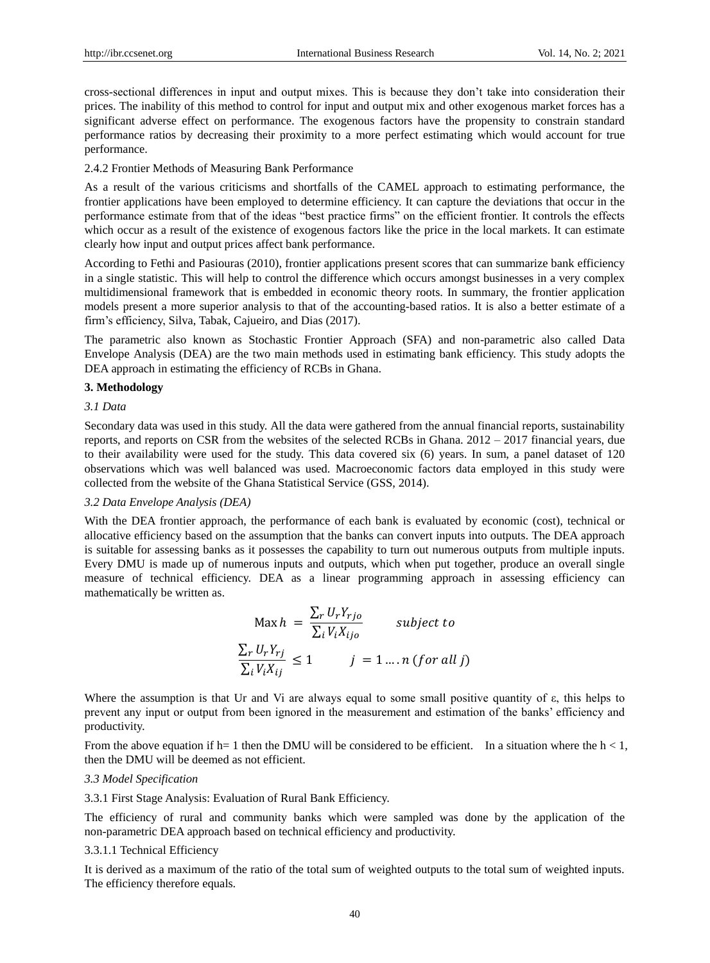cross-sectional differences in input and output mixes. This is because they don't take into consideration their prices. The inability of this method to control for input and output mix and other exogenous market forces has a significant adverse effect on performance. The exogenous factors have the propensity to constrain standard performance ratios by decreasing their proximity to a more perfect estimating which would account for true performance.

#### 2.4.2 Frontier Methods of Measuring Bank Performance

As a result of the various criticisms and shortfalls of the CAMEL approach to estimating performance, the frontier applications have been employed to determine efficiency. It can capture the deviations that occur in the performance estimate from that of the ideas "best practice firms" on the efficient frontier. It controls the effects which occur as a result of the existence of exogenous factors like the price in the local markets. It can estimate clearly how input and output prices affect bank performance.

According to Fethi and Pasiouras (2010), frontier applications present scores that can summarize bank efficiency in a single statistic. This will help to control the difference which occurs amongst businesses in a very complex multidimensional framework that is embedded in economic theory roots. In summary, the frontier application models present a more superior analysis to that of the accounting-based ratios. It is also a better estimate of a firm's efficiency, Silva, Tabak, Cajueiro, and Dias (2017).

The parametric also known as Stochastic Frontier Approach (SFA) and non-parametric also called Data Envelope Analysis (DEA) are the two main methods used in estimating bank efficiency. This study adopts the DEA approach in estimating the efficiency of RCBs in Ghana.

#### **3. Methodology**

#### *3.1 Data*

Secondary data was used in this study. All the data were gathered from the annual financial reports, sustainability reports, and reports on CSR from the websites of the selected RCBs in Ghana. 2012 – 2017 financial years, due to their availability were used for the study. This data covered six (6) years. In sum, a panel dataset of 120 observations which was well balanced was used. Macroeconomic factors data employed in this study were collected from the website of the Ghana Statistical Service (GSS, 2014).

#### *3.2 Data Envelope Analysis (DEA)*

With the DEA frontier approach, the performance of each bank is evaluated by economic (cost), technical or allocative efficiency based on the assumption that the banks can convert inputs into outputs. The DEA approach is suitable for assessing banks as it possesses the capability to turn out numerous outputs from multiple inputs. Every DMU is made up of numerous inputs and outputs, which when put together, produce an overall single measure of technical efficiency. DEA as a linear programming approach in assessing efficiency can mathematically be written as.

$$
\text{Max } h = \frac{\sum_{r} U_{r} Y_{rj o}}{\sum_{i} V_{i} X_{ij o}} \qquad \text{subject to}
$$
\n
$$
\frac{\sum_{r} U_{r} Y_{rj}}{\sum_{i} V_{i} X_{ij}} \le 1 \qquad j = 1 \dots n \text{ (for all } j)
$$

Where the assumption is that Ur and Vi are always equal to some small positive quantity of ε, this helps to prevent any input or output from been ignored in the measurement and estimation of the banks' efficiency and productivity.

From the above equation if h= 1 then the DMU will be considered to be efficient. In a situation where the  $h < 1$ , then the DMU will be deemed as not efficient.

#### *3.3 Model Specification*

#### 3.3.1 First Stage Analysis: Evaluation of Rural Bank Efficiency.

The efficiency of rural and community banks which were sampled was done by the application of the non-parametric DEA approach based on technical efficiency and productivity.

#### 3.3.1.1 Technical Efficiency

It is derived as a maximum of the ratio of the total sum of weighted outputs to the total sum of weighted inputs. The efficiency therefore equals.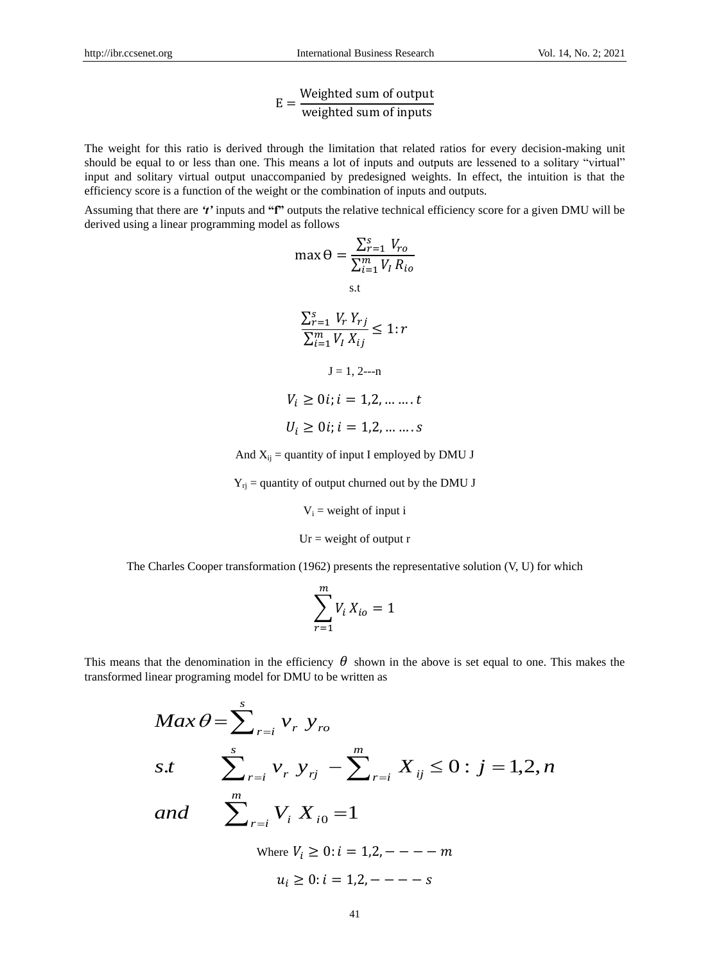$$
E = \frac{\text{Weighted sum of output}}{\text{weighted sum of inputs}}
$$

The weight for this ratio is derived through the limitation that related ratios for every decision-making unit should be equal to or less than one. This means a lot of inputs and outputs are lessened to a solitary "virtual" input and solitary virtual output unaccompanied by predesigned weights. In effect, the intuition is that the efficiency score is a function of the weight or the combination of inputs and outputs.

Assuming that there are *'t'* inputs and **"f"** outputs the relative technical efficiency score for a given DMU will be derived using a linear programming model as follows

$$
\max \Theta = \frac{\sum_{r=1}^{s} V_{ro}}{\sum_{i=1}^{m} V_{I} R_{io}}
$$
\n
$$
\frac{\sum_{r=1}^{s} V_{r} Y_{rj}}{\sum_{i=1}^{m} V_{I} X_{ij}} \leq 1:r
$$
\n
$$
J = 1, 2
$$
\n
$$
V_{i} \geq 0i; i = 1, 2, \dots \dots t
$$
\n
$$
U_{i} \geq 0i; i = 1, 2, \dots \dots s
$$

And  $X_{ij}$  = quantity of input I employed by DMU J

 $Y_{ri}$  = quantity of output churned out by the DMU J

 $V_i$  = weight of input i

 $Ur = weight of output r$ 

The Charles Cooper transformation (1962) presents the representative solution (V, U) for which

$$
\sum_{r=1}^m V_i X_{io} = 1
$$

This means that the denomination in the efficiency  $\theta$  shown in the above is set equal to one. This makes the transformed linear programing model for DMU to be written as

$$
Max \theta = \sum_{r=i}^{s} v_r y_{ro}
$$
  
s.t 
$$
\sum_{r=i}^{s} v_r y_{rj} - \sum_{r=i}^{m} X_{ij} \le 0 : j = 1, 2, n
$$
  
and 
$$
\sum_{r=i}^{m} V_i X_{i0} = 1
$$
  
where  $V_i \ge 0 : i = 1, 2, - - - - m$   
 $u_i \ge 0 : i = 1, 2, - - - - s$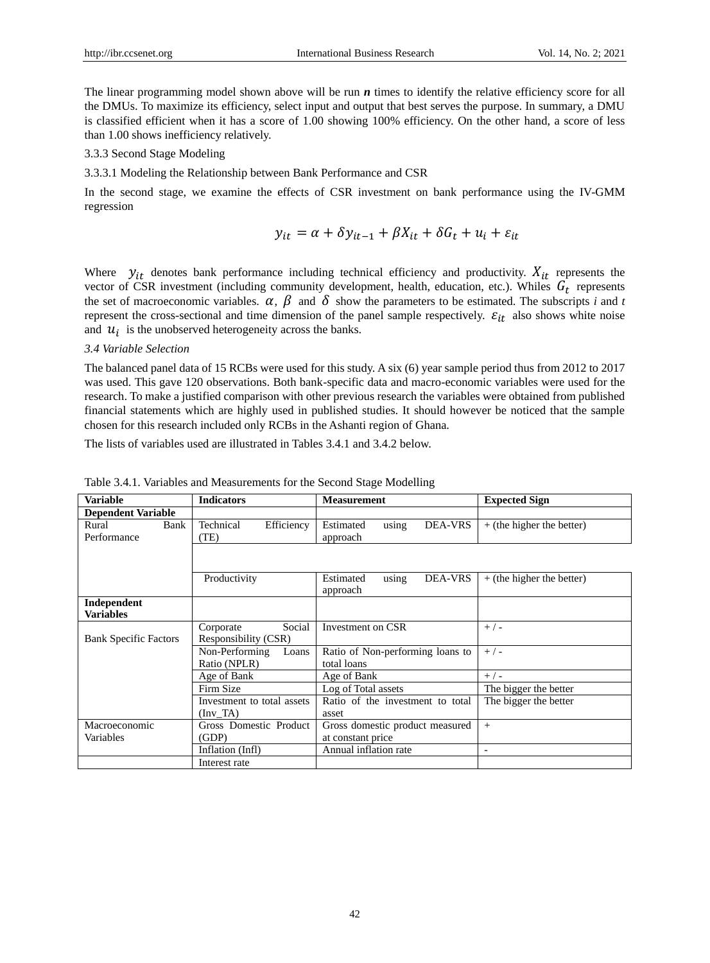The linear programming model shown above will be run *n* times to identify the relative efficiency score for all the DMUs. To maximize its efficiency, select input and output that best serves the purpose. In summary, a DMU is classified efficient when it has a score of 1.00 showing 100% efficiency. On the other hand, a score of less than 1.00 shows inefficiency relatively.

#### 3.3.3 Second Stage Modeling

3.3.3.1 Modeling the Relationship between Bank Performance and CSR

In the second stage, we examine the effects of CSR investment on bank performance using the IV-GMM regression

$$
y_{it} = \alpha + \delta y_{it-1} + \beta X_{it} + \delta G_t + u_i + \varepsilon_{it}
$$

Where  $y_{it}$  denotes bank performance including technical efficiency and productivity.  $X_{it}$  represents the vector of CSR investment (including community development, health, education, etc.). Whiles  $G_t$  represents the set of macroeconomic variables.  $\alpha$ ,  $\beta$  and  $\delta$  show the parameters to be estimated. The subscripts *i* and *t* represent the cross-sectional and time dimension of the panel sample respectively.  $\varepsilon_{it}$  also shows white noise and  $u_i$  is the unobserved heterogeneity across the banks.

#### *3.4 Variable Selection*

The balanced panel data of 15 RCBs were used for this study. A six (6) year sample period thus from 2012 to 2017 was used. This gave 120 observations. Both bank-specific data and macro-economic variables were used for the research. To make a justified comparison with other previous research the variables were obtained from published financial statements which are highly used in published studies. It should however be noticed that the sample chosen for this research included only RCBs in the Ashanti region of Ghana.

The lists of variables used are illustrated in Tables 3.4.1 and 3.4.2 below.

| <b>Variable</b>                 | <b>Indicators</b>               | <b>Measurement</b>                               | <b>Expected Sign</b>        |
|---------------------------------|---------------------------------|--------------------------------------------------|-----------------------------|
| <b>Dependent Variable</b>       |                                 |                                                  |                             |
| Rural<br>Bank<br>Performance    | Technical<br>Efficiency<br>(TE) | Estimated<br><b>DEA-VRS</b><br>using<br>approach | $+$ (the higher the better) |
|                                 |                                 |                                                  |                             |
|                                 | Productivity                    | <b>DEA-VRS</b><br>Estimated<br>using<br>approach | $+$ (the higher the better) |
| Independent<br><b>Variables</b> |                                 |                                                  |                             |
|                                 | Social<br>Corporate             | Investment on CSR                                | $+/-$                       |
| <b>Bank Specific Factors</b>    | Responsibility (CSR)            |                                                  |                             |
|                                 | Non-Performing<br>Loans         | Ratio of Non-performing loans to                 | $+/-$                       |
|                                 | Ratio (NPLR)                    | total loans                                      |                             |
|                                 | Age of Bank                     | Age of Bank                                      | $+/-$                       |
|                                 | Firm Size                       | Log of Total assets                              | The bigger the better       |
|                                 | Investment to total assets      | Ratio of the investment to total                 | The bigger the better       |
|                                 | $(\text{Inv } TA)$              | asset                                            |                             |
| Macroeconomic                   | Gross Domestic Product          | Gross domestic product measured                  | $^{+}$                      |
| Variables                       | (GDP)                           | at constant price                                |                             |
|                                 | Inflation (Infl)                | Annual inflation rate                            | ٠                           |
|                                 | Interest rate                   |                                                  |                             |

Table 3.4.1. Variables and Measurements for the Second Stage Modelling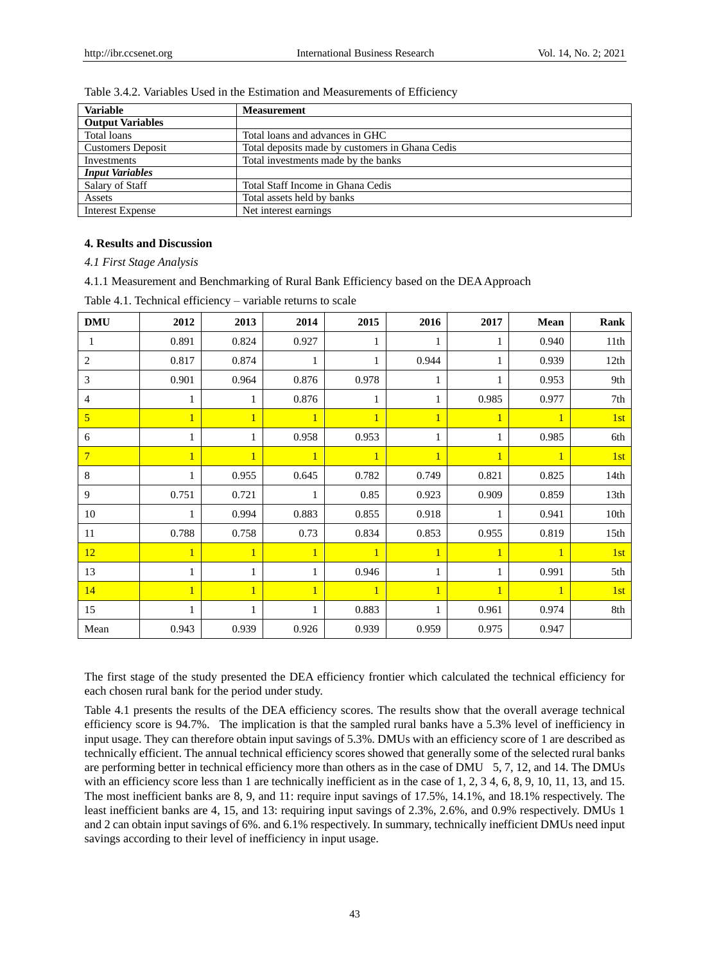| <b>Variable</b>          | <b>Measurement</b>                              |
|--------------------------|-------------------------------------------------|
| <b>Output Variables</b>  |                                                 |
| Total loans              | Total loans and advances in GHC                 |
| <b>Customers Deposit</b> | Total deposits made by customers in Ghana Cedis |
| Investments              | Total investments made by the banks             |
| <b>Input Variables</b>   |                                                 |
| Salary of Staff          | Total Staff Income in Ghana Cedis               |
| Assets                   | Total assets held by banks                      |
| Interest Expense         | Net interest earnings                           |

# Table 3.4.2. Variables Used in the Estimation and Measurements of Efficiency

# **4. Results and Discussion**

*4.1 First Stage Analysis*

4.1.1 Measurement and Benchmarking of Rural Bank Efficiency based on the DEA Approach

| <b>DMU</b>     | 2012  | 2013         | 2014         | 2015         | 2016  | 2017  | Mean         | Rank             |
|----------------|-------|--------------|--------------|--------------|-------|-------|--------------|------------------|
| $\perp$        | 0.891 | 0.824        | 0.927        | 1            |       |       | 0.940        | 11th             |
| 2              | 0.817 | 0.874        | $\mathbf{1}$ | 1            | 0.944 |       | 0.939        | 12th             |
| 3              | 0.901 | 0.964        | 0.876        | 0.978        | 1     | 1     | 0.953        | 9th              |
| 4              |       |              | 0.876        | 1            |       | 0.985 | 0.977        | 7th              |
| $\overline{5}$ |       | $\mathbf{1}$ | $\mathbf{1}$ | $\mathbf{1}$ |       |       | 1            | 1st              |
| 6              |       |              | 0.958        | 0.953        |       |       | 0.985        | 6th              |
| $\overline{7}$ | 1     | $\mathbf{1}$ | $\mathbf{1}$ | $\mathbf{1}$ | 1     |       | $\mathbf{1}$ | 1st              |
| 8              | 1     | 0.955        | 0.645        | 0.782        | 0.749 | 0.821 | 0.825        | 14th             |
| 9              | 0.751 | 0.721        |              | 0.85         | 0.923 | 0.909 | 0.859        | 13 <sup>th</sup> |
| 10             | 1     | 0.994        | 0.883        | 0.855        | 0.918 |       | 0.941        | 10th             |
| 11             | 0.788 | 0.758        | 0.73         | 0.834        | 0.853 | 0.955 | 0.819        | 15th             |
| 12             | 1     | 1            | $\mathbf{1}$ | $\mathbf{1}$ | 1     |       | 1            | 1st              |
| 13             |       |              |              | 0.946        |       |       | 0.991        | 5th              |
| 14             | 1     | 1            | $\mathbf{1}$ | $\mathbf{1}$ |       |       |              | 1st              |
| 15             |       |              |              | 0.883        |       | 0.961 | 0.974        | 8th              |
| Mean           | 0.943 | 0.939        | 0.926        | 0.939        | 0.959 | 0.975 | 0.947        |                  |

Table 4.1. Technical efficiency – variable returns to scale

The first stage of the study presented the DEA efficiency frontier which calculated the technical efficiency for each chosen rural bank for the period under study.

Table 4.1 presents the results of the DEA efficiency scores. The results show that the overall average technical efficiency score is 94.7%. The implication is that the sampled rural banks have a 5.3% level of inefficiency in input usage. They can therefore obtain input savings of 5.3%. DMUs with an efficiency score of 1 are described as technically efficient. The annual technical efficiency scores showed that generally some of the selected rural banks are performing better in technical efficiency more than others as in the case of DMU 5, 7, 12, and 14. The DMUs with an efficiency score less than 1 are technically inefficient as in the case of 1, 2, 3 4, 6, 8, 9, 10, 11, 13, and 15. The most inefficient banks are 8, 9, and 11: require input savings of 17.5%, 14.1%, and 18.1% respectively. The least inefficient banks are 4, 15, and 13: requiring input savings of 2.3%, 2.6%, and 0.9% respectively. DMUs 1 and 2 can obtain input savings of 6%. and 6.1% respectively. In summary, technically inefficient DMUs need input savings according to their level of inefficiency in input usage.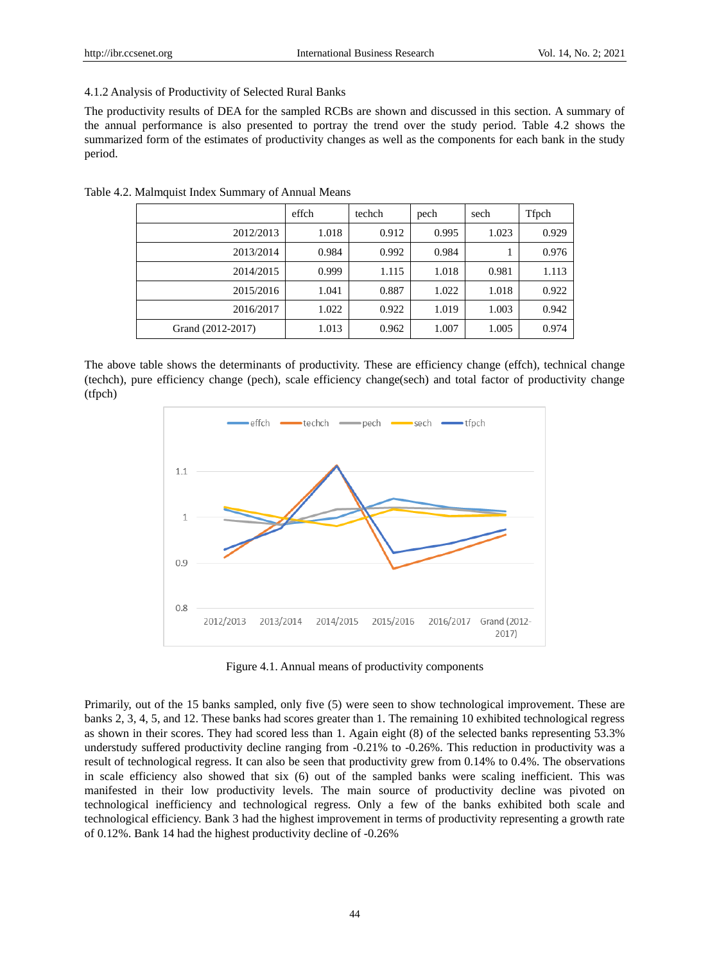#### 4.1.2 Analysis of Productivity of Selected Rural Banks

The productivity results of DEA for the sampled RCBs are shown and discussed in this section. A summary of the annual performance is also presented to portray the trend over the study period. Table 4.2 shows the summarized form of the estimates of productivity changes as well as the components for each bank in the study period.

|                   | effch | techch | pech  | sech  | Tfpch |
|-------------------|-------|--------|-------|-------|-------|
| 2012/2013         | 1.018 | 0.912  | 0.995 | 1.023 | 0.929 |
| 2013/2014         | 0.984 | 0.992  | 0.984 |       | 0.976 |
| 2014/2015         | 0.999 | 1.115  | 1.018 | 0.981 | 1.113 |
| 2015/2016         | 1.041 | 0.887  | 1.022 | 1.018 | 0.922 |
| 2016/2017         | 1.022 | 0.922  | 1.019 | 1.003 | 0.942 |
| Grand (2012-2017) | 1.013 | 0.962  | 1.007 | 1.005 | 0.974 |

Table 4.2. Malmquist Index Summary of Annual Means

The above table shows the determinants of productivity. These are efficiency change (effch), technical change (techch), pure efficiency change (pech), scale efficiency change(sech) and total factor of productivity change (tfpch)



Figure 4.1. Annual means of productivity components

Primarily, out of the 15 banks sampled, only five (5) were seen to show technological improvement. These are banks 2, 3, 4, 5, and 12. These banks had scores greater than 1. The remaining 10 exhibited technological regress as shown in their scores. They had scored less than 1. Again eight (8) of the selected banks representing 53.3% understudy suffered productivity decline ranging from -0.21% to -0.26%. This reduction in productivity was a result of technological regress. It can also be seen that productivity grew from 0.14% to 0.4%. The observations in scale efficiency also showed that six (6) out of the sampled banks were scaling inefficient. This was manifested in their low productivity levels. The main source of productivity decline was pivoted on technological inefficiency and technological regress. Only a few of the banks exhibited both scale and technological efficiency. Bank 3 had the highest improvement in terms of productivity representing a growth rate of 0.12%. Bank 14 had the highest productivity decline of -0.26%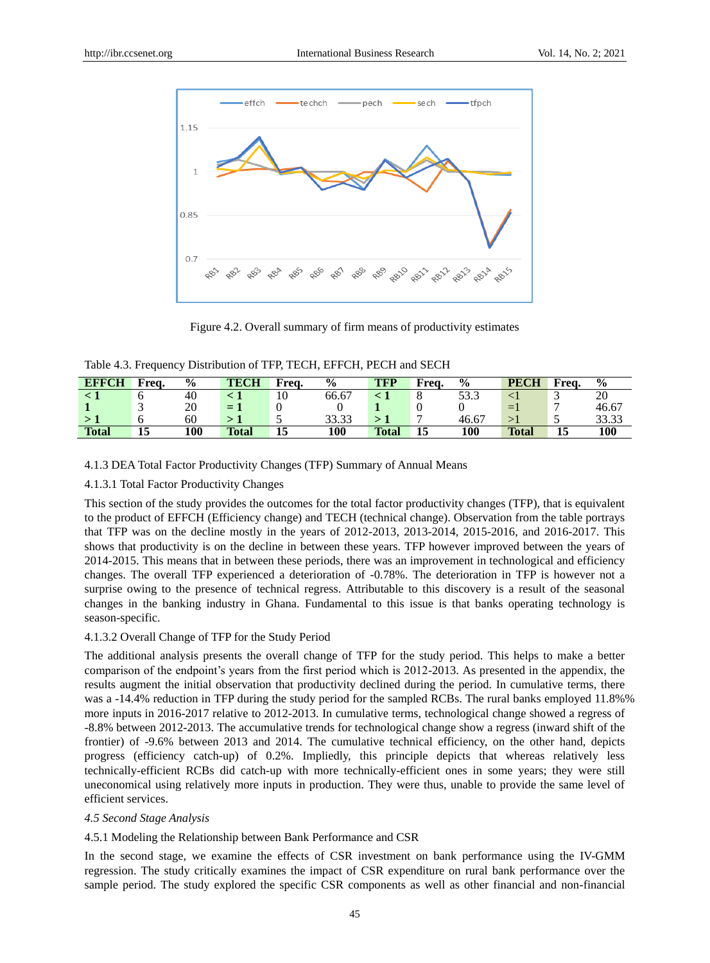

Figure 4.2. Overall summary of firm means of productivity estimates

|  | Table 4.3. Frequency Distribution of TFP, TECH, EFFCH, PECH and SECH |
|--|----------------------------------------------------------------------|
|--|----------------------------------------------------------------------|

| <b>EFFCH</b> | Frea. | $\frac{6}{9}$ | <b>TECH</b>  | Frea. | $\frac{6}{9}$ | <b>TFP</b>   | Frea. | $\frac{6}{9}$ | <b>PECH</b>  | Freq. | $\frac{0}{0}$ |
|--------------|-------|---------------|--------------|-------|---------------|--------------|-------|---------------|--------------|-------|---------------|
|              | O     | 40            |              | 10    | 66.67         |              | Ō     | 53.3          |              | ◡     | 20            |
|              | -     | 20            | ΞI           |       |               |              |       |               | $=$          | −     | 46.67         |
|              | O     | 60            |              |       | 33.33         |              |       | 46.67         | $>$ ]        |       | 33.33         |
| <b>Total</b> | 15    | 100           | <b>Total</b> | 13    | 100           | <b>Total</b> | 15    | 100           | <b>Total</b> | 15    | 100           |

# 4.1.3 DEA Total Factor Productivity Changes (TFP) Summary of Annual Means

#### 4.1.3.1 Total Factor Productivity Changes

This section of the study provides the outcomes for the total factor productivity changes (TFP), that is equivalent to the product of EFFCH (Efficiency change) and TECH (technical change). Observation from the table portrays that TFP was on the decline mostly in the years of 2012-2013, 2013-2014, 2015-2016, and 2016-2017. This shows that productivity is on the decline in between these years. TFP however improved between the years of 2014-2015. This means that in between these periods, there was an improvement in technological and efficiency changes. The overall TFP experienced a deterioration of -0.78%. The deterioration in TFP is however not a surprise owing to the presence of technical regress. Attributable to this discovery is a result of the seasonal changes in the banking industry in Ghana. Fundamental to this issue is that banks operating technology is season-specific.

#### 4.1.3.2 Overall Change of TFP for the Study Period

The additional analysis presents the overall change of TFP for the study period. This helps to make a better comparison of the endpoint's years from the first period which is 2012-2013. As presented in the appendix, the results augment the initial observation that productivity declined during the period. In cumulative terms, there was a -14.4% reduction in TFP during the study period for the sampled RCBs. The rural banks employed 11.8% % more inputs in 2016-2017 relative to 2012-2013. In cumulative terms, technological change showed a regress of -8.8% between 2012-2013. The accumulative trends for technological change show a regress (inward shift of the frontier) of -9.6% between 2013 and 2014. The cumulative technical efficiency, on the other hand, depicts progress (efficiency catch-up) of 0.2%. Impliedly, this principle depicts that whereas relatively less technically-efficient RCBs did catch-up with more technically-efficient ones in some years; they were still uneconomical using relatively more inputs in production. They were thus, unable to provide the same level of efficient services.

#### *4.5 Second Stage Analysis*

#### 4.5.1 Modeling the Relationship between Bank Performance and CSR

In the second stage, we examine the effects of CSR investment on bank performance using the IV-GMM regression. The study critically examines the impact of CSR expenditure on rural bank performance over the sample period. The study explored the specific CSR components as well as other financial and non-financial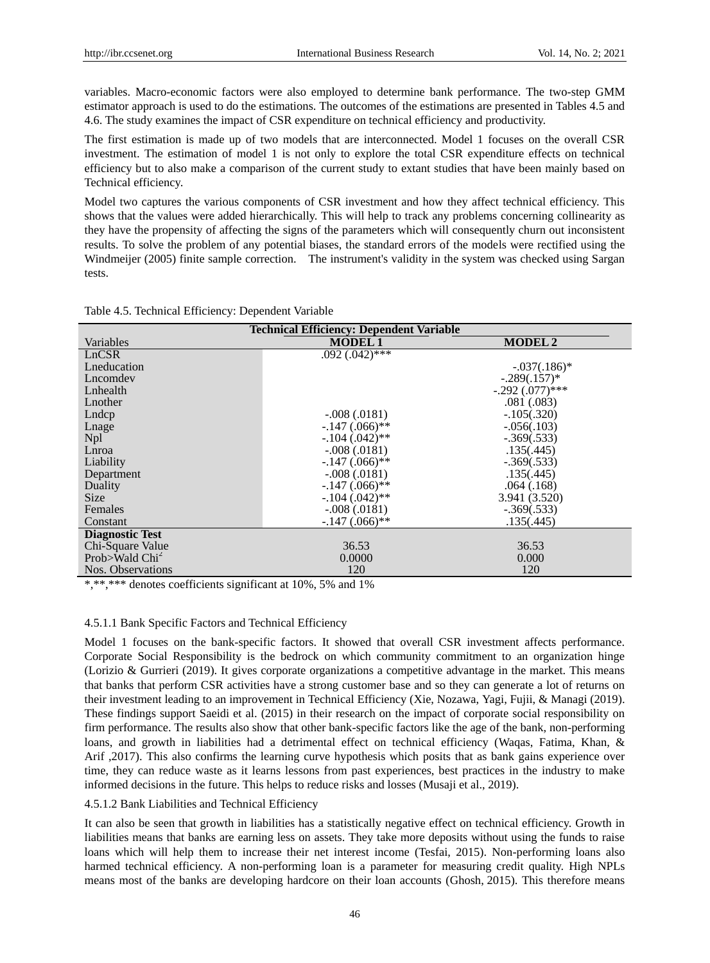variables. Macro-economic factors were also employed to determine bank performance. The two-step GMM estimator approach is used to do the estimations. The outcomes of the estimations are presented in Tables 4.5 and 4.6. The study examines the impact of CSR expenditure on technical efficiency and productivity.

The first estimation is made up of two models that are interconnected. Model 1 focuses on the overall CSR investment. The estimation of model 1 is not only to explore the total CSR expenditure effects on technical efficiency but to also make a comparison of the current study to extant studies that have been mainly based on Technical efficiency.

Model two captures the various components of CSR investment and how they affect technical efficiency. This shows that the values were added hierarchically. This will help to track any problems concerning collinearity as they have the propensity of affecting the signs of the parameters which will consequently churn out inconsistent results. To solve the problem of any potential biases, the standard errors of the models were rectified using the Windmeijer (2005) finite sample correction. The instrument's validity in the system was checked using Sargan tests.

Table 4.5. Technical Efficiency: Dependent Variable

| <b>Technical Efficiency: Dependent Variable</b> |                  |                   |  |  |  |
|-------------------------------------------------|------------------|-------------------|--|--|--|
| Variables                                       | <b>MODEL 1</b>   | <b>MODEL 2</b>    |  |  |  |
| LnCSR                                           | $.092(.042)$ *** |                   |  |  |  |
| Lneducation                                     |                  | $-.037(.186)*$    |  |  |  |
| Lncomdev                                        |                  | $-.289(.157)*$    |  |  |  |
| Lnhealth                                        |                  | $-.292(.077)$ *** |  |  |  |
| Lnother                                         |                  | .081(.083)        |  |  |  |
| Lndcp                                           | $-.008(.0181)$   | $-.105(.320)$     |  |  |  |
| Lnage                                           | $-.147(.066)$ ** | $-.056(.103)$     |  |  |  |
| <b>Npl</b>                                      | $-.104(.042)$ ** | $-.369(.533)$     |  |  |  |
| Lnroa                                           | $-.008(.0181)$   | .135(.445)        |  |  |  |
| Liability                                       | $-.147(.066)$ ** | $-.369(.533)$     |  |  |  |
| Department                                      | $-.008(.0181)$   | .135(.445)        |  |  |  |
| Duality                                         | $-.147(.066)$ ** | .064(.168)        |  |  |  |
| <b>Size</b>                                     | $-.104(.042)$ ** | 3.941 (3.520)     |  |  |  |
| Females                                         | $-.008(.0181)$   | $-.369(.533)$     |  |  |  |
| Constant                                        | $-.147(.066)$ ** | .135(.445)        |  |  |  |
| <b>Diagnostic Test</b>                          |                  |                   |  |  |  |
| Chi-Square Value                                | 36.53            | 36.53             |  |  |  |
| Prob>Wald Chi <sup>2</sup>                      | 0.0000           | 0.000             |  |  |  |
| Nos. Observations                               | 120              | 120               |  |  |  |

\*,\*\*,\*\*\* denotes coefficients significant at 10%, 5% and 1%

#### 4.5.1.1 Bank Specific Factors and Technical Efficiency

Model 1 focuses on the bank-specific factors. It showed that overall CSR investment affects performance. Corporate Social Responsibility is the bedrock on which community commitment to an organization hinge (Lorizio & Gurrieri (2019). It gives corporate organizations a competitive advantage in the market. This means that banks that perform CSR activities have a strong customer base and so they can generate a lot of returns on their investment leading to an improvement in Technical Efficiency (Xie, Nozawa, Yagi, Fujii, & Managi (2019). These findings support Saeidi et al. (2015) in their research on the impact of corporate social responsibility on firm performance. The results also show that other bank-specific factors like the age of the bank, non-performing loans, and growth in liabilities had a detrimental effect on technical efficiency (Waqas, Fatima, Khan, & Arif ,2017). This also confirms the learning curve hypothesis which posits that as bank gains experience over time, they can reduce waste as it learns lessons from past experiences, best practices in the industry to make informed decisions in the future. This helps to reduce risks and losses (Musaji et al., 2019).

# 4.5.1.2 Bank Liabilities and Technical Efficiency

It can also be seen that growth in liabilities has a statistically negative effect on technical efficiency. Growth in liabilities means that banks are earning less on assets. They take more deposits without using the funds to raise loans which will help them to increase their net interest income (Tesfai, 2015). Non-performing loans also harmed technical efficiency. A non-performing loan is a parameter for measuring credit quality. High NPLs means most of the banks are developing hardcore on their loan accounts (Ghosh, 2015). This therefore means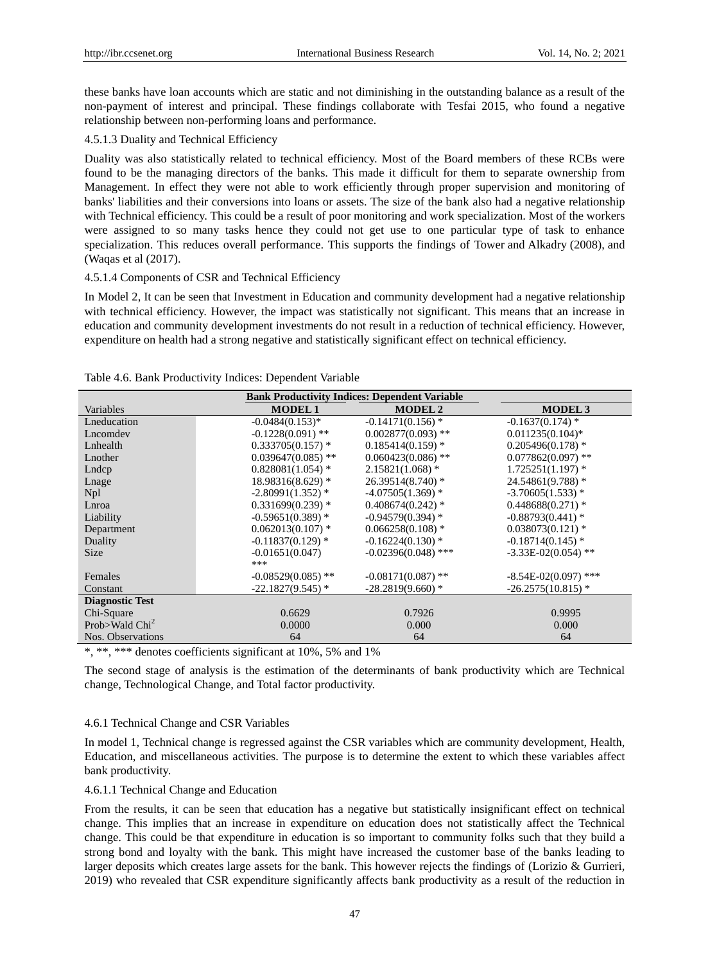these banks have loan accounts which are static and not diminishing in the outstanding balance as a result of the non-payment of interest and principal. These findings collaborate with Tesfai 2015, who found a negative relationship between non-performing loans and performance.

# 4.5.1.3 Duality and Technical Efficiency

Duality was also statistically related to technical efficiency. Most of the Board members of these RCBs were found to be the managing directors of the banks. This made it difficult for them to separate ownership from Management. In effect they were not able to work efficiently through proper supervision and monitoring of banks' liabilities and their conversions into loans or assets. The size of the bank also had a negative relationship with Technical efficiency. This could be a result of poor monitoring and work specialization. Most of the workers were assigned to so many tasks hence they could not get use to one particular type of task to enhance specialization. This reduces overall performance. This supports the findings of Tower and Alkadry (2008), and (Waqas et al (2017).

# 4.5.1.4 Components of CSR and Technical Efficiency

In Model 2, It can be seen that Investment in Education and community development had a negative relationship with technical efficiency. However, the impact was statistically not significant. This means that an increase in education and community development investments do not result in a reduction of technical efficiency. However, expenditure on health had a strong negative and statistically significant effect on technical efficiency.

| <b>Bank Productivity Indices: Dependent Variable</b> |                      |                       |                         |  |  |  |
|------------------------------------------------------|----------------------|-----------------------|-------------------------|--|--|--|
| Variables                                            | <b>MODEL1</b>        | <b>MODEL 2</b>        | <b>MODEL3</b>           |  |  |  |
| Lneducation                                          | $-0.0484(0.153)*$    | $-0.14171(0.156)$ *   | $-0.1637(0.174)$ *      |  |  |  |
| Lncomdev                                             | $-0.1228(0.091)$ **  | $0.002877(0.093)$ **  | $0.011235(0.104)$ *     |  |  |  |
| Lnhealth                                             | $0.333705(0.157)$ *  | $0.185414(0.159)$ *   | $0.205496(0.178)$ *     |  |  |  |
| Lnother                                              | $0.039647(0.085)$ ** | $0.060423(0.086)$ **  | $0.077862(0.097)$ **    |  |  |  |
| Lndcp                                                | $0.828081(1.054)$ *  | $2.15821(1.068)$ *    | $1.725251(1.197)$ *     |  |  |  |
| Lnage                                                | $18.98316(8.629)$ *  | $26.39514(8.740)$ *   | $24.54861(9.788)$ *     |  |  |  |
| N <sub>pl</sub>                                      | $-2.80991(1.352)$ *  | $-4.07505(1.369)$ *   | $-3.70605(1.533)*$      |  |  |  |
| Lnroa                                                | $0.331699(0.239)$ *  | $0.408674(0.242)$ *   | $0.448688(0.271)*$      |  |  |  |
| Liability                                            | $-0.59651(0.389)$ *  | $-0.94579(0.394)$ *   | $-0.88793(0.441)$ *     |  |  |  |
| Department                                           | $0.062013(0.107)$ *  | $0.066258(0.108)$ *   | $0.038073(0.121)$ *     |  |  |  |
| Duality                                              | $-0.11837(0.129)$ *  | $-0.16224(0.130)$ *   | $-0.18714(0.145)$ *     |  |  |  |
| <b>Size</b>                                          | $-0.01651(0.047)$    | $-0.02396(0.048)$ *** | $-3.33E - 02(0.054)$ ** |  |  |  |
|                                                      | ***                  |                       |                         |  |  |  |
| <b>Females</b>                                       | $-0.08529(0.085)$ ** | $-0.08171(0.087)$ **  | $-8.54E-02(0.097)$ ***  |  |  |  |
| Constant                                             | $-22.1827(9.545)$ *  | $-28.2819(9.660)$ *   | $-26.2575(10.815)$ *    |  |  |  |
| <b>Diagnostic Test</b>                               |                      |                       |                         |  |  |  |
| Chi-Square                                           | 0.6629               | 0.7926                | 0.9995                  |  |  |  |
| Prob>Wald $Chi2$                                     | 0.0000               | 0.000                 | 0.000                   |  |  |  |
| Nos. Observations                                    | 64                   | 64                    | 64                      |  |  |  |
|                                                      |                      |                       |                         |  |  |  |

|  |  | Table 4.6. Bank Productivity Indices: Dependent Variable |  |  |  |
|--|--|----------------------------------------------------------|--|--|--|
|--|--|----------------------------------------------------------|--|--|--|

\*, \*\*, \*\*\* denotes coefficients significant at 10%, 5% and 1%

The second stage of analysis is the estimation of the determinants of bank productivity which are Technical change, Technological Change, and Total factor productivity.

# 4.6.1 Technical Change and CSR Variables

In model 1, Technical change is regressed against the CSR variables which are community development, Health, Education, and miscellaneous activities. The purpose is to determine the extent to which these variables affect bank productivity.

# 4.6.1.1 Technical Change and Education

From the results, it can be seen that education has a negative but statistically insignificant effect on technical change. This implies that an increase in expenditure on education does not statistically affect the Technical change. This could be that expenditure in education is so important to community folks such that they build a strong bond and loyalty with the bank. This might have increased the customer base of the banks leading to larger deposits which creates large assets for the bank. This however rejects the findings of (Lorizio & Gurrieri, 2019) who revealed that CSR expenditure significantly affects bank productivity as a result of the reduction in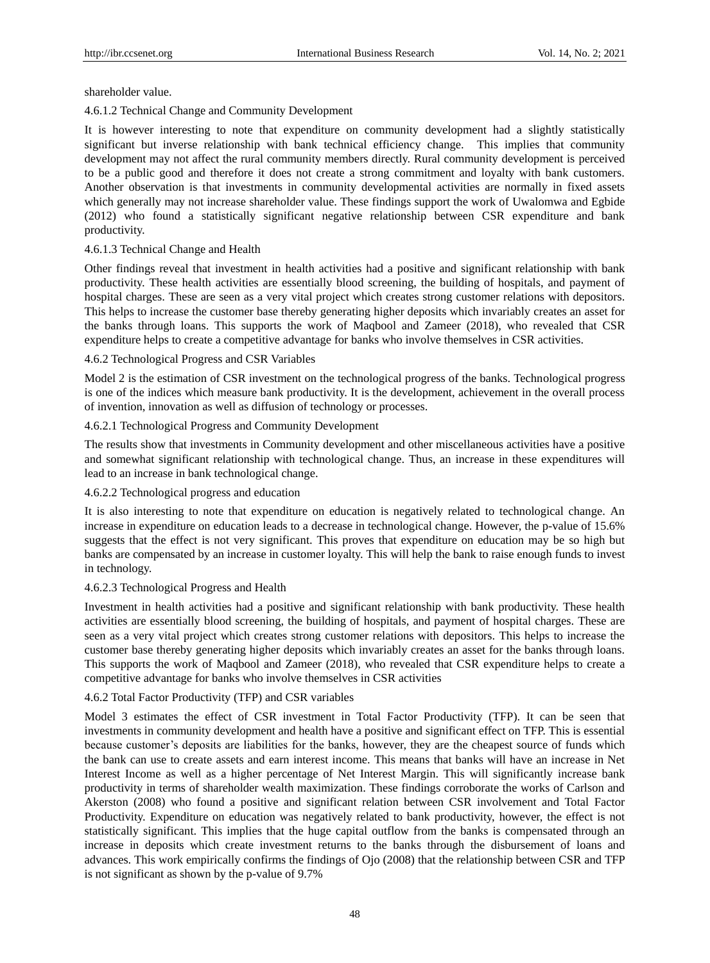shareholder value.

# 4.6.1.2 Technical Change and Community Development

It is however interesting to note that expenditure on community development had a slightly statistically significant but inverse relationship with bank technical efficiency change. This implies that community development may not affect the rural community members directly. Rural community development is perceived to be a public good and therefore it does not create a strong commitment and loyalty with bank customers. Another observation is that investments in community developmental activities are normally in fixed assets which generally may not increase shareholder value. These findings support the work of Uwalomwa and Egbide (2012) who found a statistically significant negative relationship between CSR expenditure and bank productivity.

# 4.6.1.3 Technical Change and Health

Other findings reveal that investment in health activities had a positive and significant relationship with bank productivity. These health activities are essentially blood screening, the building of hospitals, and payment of hospital charges. These are seen as a very vital project which creates strong customer relations with depositors. This helps to increase the customer base thereby generating higher deposits which invariably creates an asset for the banks through loans. This supports the work of Maqbool and Zameer (2018), who revealed that CSR expenditure helps to create a competitive advantage for banks who involve themselves in CSR activities.

# 4.6.2 Technological Progress and CSR Variables

Model 2 is the estimation of CSR investment on the technological progress of the banks. Technological progress is one of the indices which measure bank productivity. It is the development, achievement in the overall process of invention, innovation as well as diffusion of technology or processes.

# 4.6.2.1 Technological Progress and Community Development

The results show that investments in Community development and other miscellaneous activities have a positive and somewhat significant relationship with technological change. Thus, an increase in these expenditures will lead to an increase in bank technological change.

# 4.6.2.2 Technological progress and education

It is also interesting to note that expenditure on education is negatively related to technological change. An increase in expenditure on education leads to a decrease in technological change. However, the p-value of 15.6% suggests that the effect is not very significant. This proves that expenditure on education may be so high but banks are compensated by an increase in customer loyalty. This will help the bank to raise enough funds to invest in technology.

# 4.6.2.3 Technological Progress and Health

Investment in health activities had a positive and significant relationship with bank productivity. These health activities are essentially blood screening, the building of hospitals, and payment of hospital charges. These are seen as a very vital project which creates strong customer relations with depositors. This helps to increase the customer base thereby generating higher deposits which invariably creates an asset for the banks through loans. This supports the work of Maqbool and Zameer (2018), who revealed that CSR expenditure helps to create a competitive advantage for banks who involve themselves in CSR activities

# 4.6.2 Total Factor Productivity (TFP) and CSR variables

Model 3 estimates the effect of CSR investment in Total Factor Productivity (TFP). It can be seen that investments in community development and health have a positive and significant effect on TFP. This is essential because customer's deposits are liabilities for the banks, however, they are the cheapest source of funds which the bank can use to create assets and earn interest income. This means that banks will have an increase in Net Interest Income as well as a higher percentage of Net Interest Margin. This will significantly increase bank productivity in terms of shareholder wealth maximization. These findings corroborate the works of Carlson and Akerston (2008) who found a positive and significant relation between CSR involvement and Total Factor Productivity. Expenditure on education was negatively related to bank productivity, however, the effect is not statistically significant. This implies that the huge capital outflow from the banks is compensated through an increase in deposits which create investment returns to the banks through the disbursement of loans and advances. This work empirically confirms the findings of Ojo (2008) that the relationship between CSR and TFP is not significant as shown by the p-value of 9.7%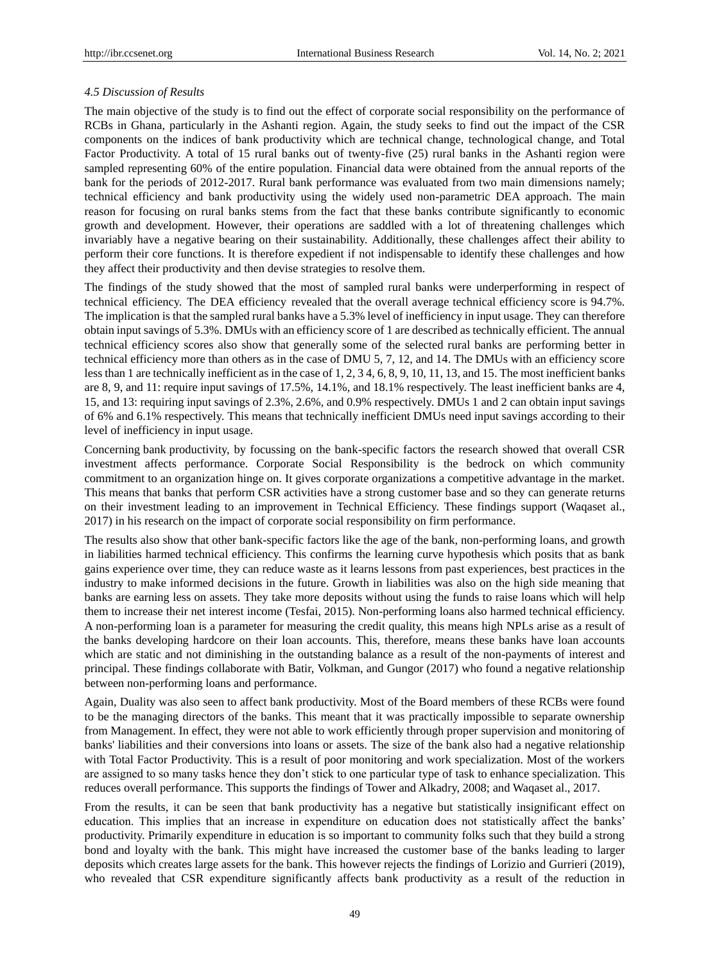#### *4.5 Discussion of Results*

The main objective of the study is to find out the effect of corporate social responsibility on the performance of RCBs in Ghana, particularly in the Ashanti region. Again, the study seeks to find out the impact of the CSR components on the indices of bank productivity which are technical change, technological change, and Total Factor Productivity. A total of 15 rural banks out of twenty-five (25) rural banks in the Ashanti region were sampled representing 60% of the entire population. Financial data were obtained from the annual reports of the bank for the periods of 2012-2017. Rural bank performance was evaluated from two main dimensions namely; technical efficiency and bank productivity using the widely used non-parametric DEA approach. The main reason for focusing on rural banks stems from the fact that these banks contribute significantly to economic growth and development. However, their operations are saddled with a lot of threatening challenges which invariably have a negative bearing on their sustainability. Additionally, these challenges affect their ability to perform their core functions. It is therefore expedient if not indispensable to identify these challenges and how they affect their productivity and then devise strategies to resolve them.

The findings of the study showed that the most of sampled rural banks were underperforming in respect of technical efficiency. The DEA efficiency revealed that the overall average technical efficiency score is 94.7%. The implication is that the sampled rural banks have a 5.3% level of inefficiency in input usage. They can therefore obtain input savings of 5.3%. DMUs with an efficiency score of 1 are described as technically efficient. The annual technical efficiency scores also show that generally some of the selected rural banks are performing better in technical efficiency more than others as in the case of DMU 5, 7, 12, and 14. The DMUs with an efficiency score less than 1 are technically inefficient as in the case of 1, 2, 3 4, 6, 8, 9, 10, 11, 13, and 15. The most inefficient banks are 8, 9, and 11: require input savings of 17.5%, 14.1%, and 18.1% respectively. The least inefficient banks are 4, 15, and 13: requiring input savings of 2.3%, 2.6%, and 0.9% respectively. DMUs 1 and 2 can obtain input savings of 6% and 6.1% respectively. This means that technically inefficient DMUs need input savings according to their level of inefficiency in input usage.

Concerning bank productivity, by focussing on the bank-specific factors the research showed that overall CSR investment affects performance. Corporate Social Responsibility is the bedrock on which community commitment to an organization hinge on. It gives corporate organizations a competitive advantage in the market. This means that banks that perform CSR activities have a strong customer base and so they can generate returns on their investment leading to an improvement in Technical Efficiency. These findings support (Waqaset al., 2017) in his research on the impact of corporate social responsibility on firm performance.

The results also show that other bank-specific factors like the age of the bank, non-performing loans, and growth in liabilities harmed technical efficiency. This confirms the learning curve hypothesis which posits that as bank gains experience over time, they can reduce waste as it learns lessons from past experiences, best practices in the industry to make informed decisions in the future. Growth in liabilities was also on the high side meaning that banks are earning less on assets. They take more deposits without using the funds to raise loans which will help them to increase their net interest income (Tesfai, 2015). Non-performing loans also harmed technical efficiency. A non-performing loan is a parameter for measuring the credit quality, this means high NPLs arise as a result of the banks developing hardcore on their loan accounts. This, therefore, means these banks have loan accounts which are static and not diminishing in the outstanding balance as a result of the non-payments of interest and principal. These findings collaborate with Batir, Volkman, and Gungor (2017) who found a negative relationship between non-performing loans and performance.

Again, Duality was also seen to affect bank productivity. Most of the Board members of these RCBs were found to be the managing directors of the banks. This meant that it was practically impossible to separate ownership from Management. In effect, they were not able to work efficiently through proper supervision and monitoring of banks' liabilities and their conversions into loans or assets. The size of the bank also had a negative relationship with Total Factor Productivity. This is a result of poor monitoring and work specialization. Most of the workers are assigned to so many tasks hence they don't stick to one particular type of task to enhance specialization. This reduces overall performance. This supports the findings of Tower and Alkadry, 2008; and Waqaset al., 2017.

From the results, it can be seen that bank productivity has a negative but statistically insignificant effect on education. This implies that an increase in expenditure on education does not statistically affect the banks' productivity. Primarily expenditure in education is so important to community folks such that they build a strong bond and loyalty with the bank. This might have increased the customer base of the banks leading to larger deposits which creates large assets for the bank. This however rejects the findings of Lorizio and Gurrieri (2019), who revealed that CSR expenditure significantly affects bank productivity as a result of the reduction in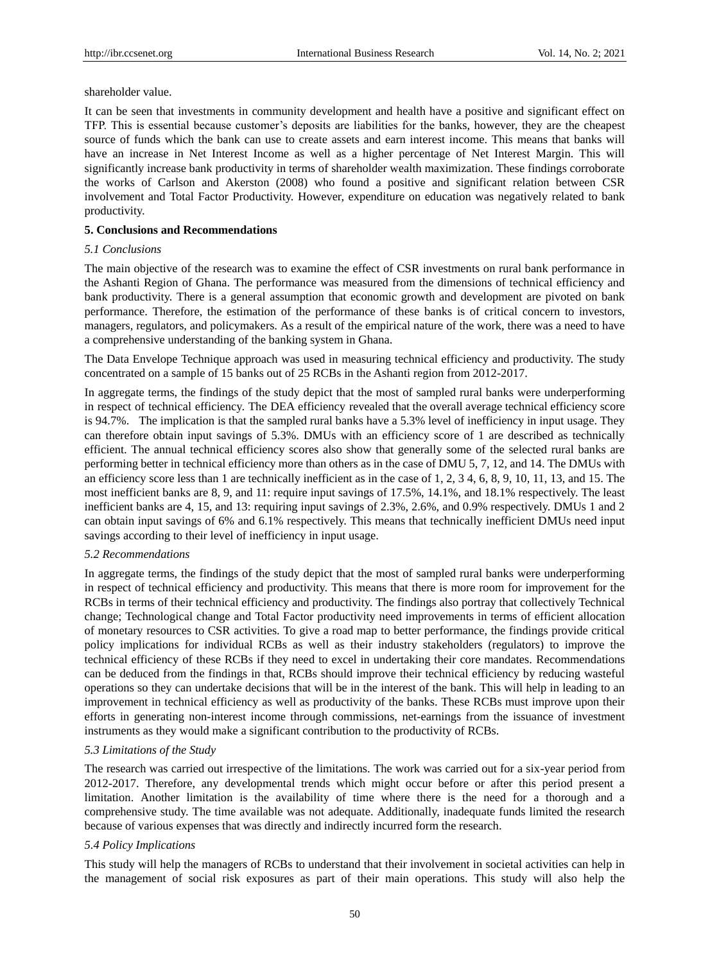shareholder value.

It can be seen that investments in community development and health have a positive and significant effect on TFP. This is essential because customer's deposits are liabilities for the banks, however, they are the cheapest source of funds which the bank can use to create assets and earn interest income. This means that banks will have an increase in Net Interest Income as well as a higher percentage of Net Interest Margin. This will significantly increase bank productivity in terms of shareholder wealth maximization. These findings corroborate the works of Carlson and Akerston (2008) who found a positive and significant relation between CSR involvement and Total Factor Productivity. However, expenditure on education was negatively related to bank productivity.

#### **5. Conclusions and Recommendations**

#### *5.1 Conclusions*

The main objective of the research was to examine the effect of CSR investments on rural bank performance in the Ashanti Region of Ghana. The performance was measured from the dimensions of technical efficiency and bank productivity. There is a general assumption that economic growth and development are pivoted on bank performance. Therefore, the estimation of the performance of these banks is of critical concern to investors, managers, regulators, and policymakers. As a result of the empirical nature of the work, there was a need to have a comprehensive understanding of the banking system in Ghana.

The Data Envelope Technique approach was used in measuring technical efficiency and productivity. The study concentrated on a sample of 15 banks out of 25 RCBs in the Ashanti region from 2012-2017.

In aggregate terms, the findings of the study depict that the most of sampled rural banks were underperforming in respect of technical efficiency. The DEA efficiency revealed that the overall average technical efficiency score is 94.7%. The implication is that the sampled rural banks have a 5.3% level of inefficiency in input usage. They can therefore obtain input savings of 5.3%. DMUs with an efficiency score of 1 are described as technically efficient. The annual technical efficiency scores also show that generally some of the selected rural banks are performing better in technical efficiency more than others as in the case of DMU 5, 7, 12, and 14. The DMUs with an efficiency score less than 1 are technically inefficient as in the case of 1, 2, 3 4, 6, 8, 9, 10, 11, 13, and 15. The most inefficient banks are 8, 9, and 11: require input savings of 17.5%, 14.1%, and 18.1% respectively. The least inefficient banks are 4, 15, and 13: requiring input savings of 2.3%, 2.6%, and 0.9% respectively. DMUs 1 and 2 can obtain input savings of 6% and 6.1% respectively. This means that technically inefficient DMUs need input savings according to their level of inefficiency in input usage.

#### *5.2 Recommendations*

In aggregate terms, the findings of the study depict that the most of sampled rural banks were underperforming in respect of technical efficiency and productivity. This means that there is more room for improvement for the RCBs in terms of their technical efficiency and productivity. The findings also portray that collectively Technical change; Technological change and Total Factor productivity need improvements in terms of efficient allocation of monetary resources to CSR activities. To give a road map to better performance, the findings provide critical policy implications for individual RCBs as well as their industry stakeholders (regulators) to improve the technical efficiency of these RCBs if they need to excel in undertaking their core mandates. Recommendations can be deduced from the findings in that, RCBs should improve their technical efficiency by reducing wasteful operations so they can undertake decisions that will be in the interest of the bank. This will help in leading to an improvement in technical efficiency as well as productivity of the banks. These RCBs must improve upon their efforts in generating non-interest income through commissions, net-earnings from the issuance of investment instruments as they would make a significant contribution to the productivity of RCBs.

# *5.3 Limitations of the Study*

The research was carried out irrespective of the limitations. The work was carried out for a six-year period from 2012-2017. Therefore, any developmental trends which might occur before or after this period present a limitation. Another limitation is the availability of time where there is the need for a thorough and a comprehensive study. The time available was not adequate. Additionally, inadequate funds limited the research because of various expenses that was directly and indirectly incurred form the research.

# *5.4 Policy Implications*

This study will help the managers of RCBs to understand that their involvement in societal activities can help in the management of social risk exposures as part of their main operations. This study will also help the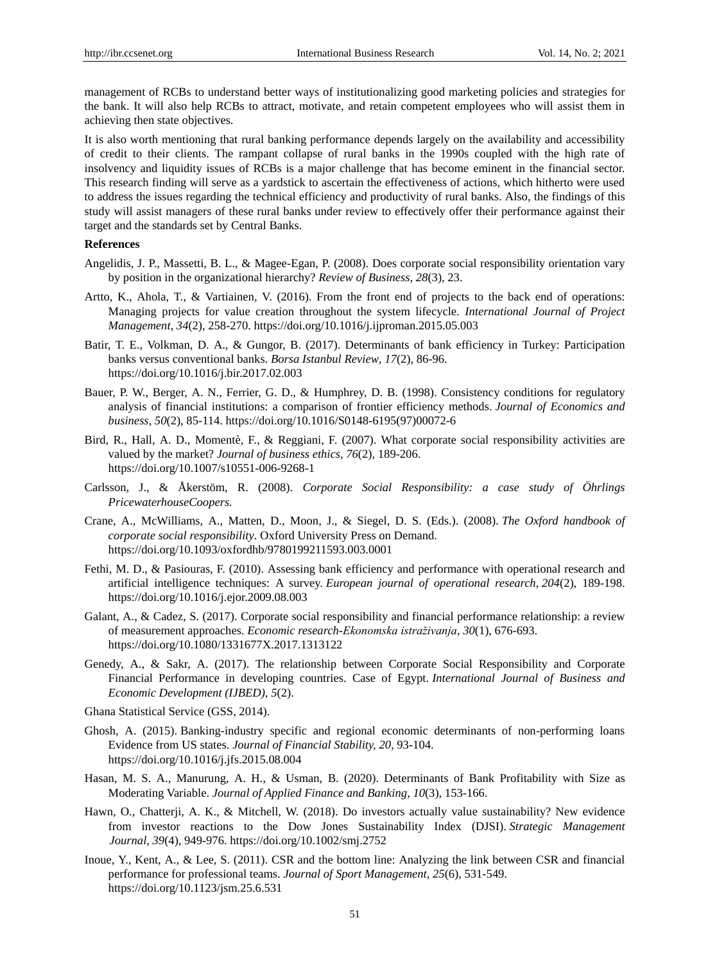management of RCBs to understand better ways of institutionalizing good marketing policies and strategies for the bank. It will also help RCBs to attract, motivate, and retain competent employees who will assist them in achieving then state objectives.

It is also worth mentioning that rural banking performance depends largely on the availability and accessibility of credit to their clients. The rampant collapse of rural banks in the 1990s coupled with the high rate of insolvency and liquidity issues of RCBs is a major challenge that has become eminent in the financial sector. This research finding will serve as a yardstick to ascertain the effectiveness of actions, which hitherto were used to address the issues regarding the technical efficiency and productivity of rural banks. Also, the findings of this study will assist managers of these rural banks under review to effectively offer their performance against their target and the standards set by Central Banks.

# **References**

- Angelidis, J. P., Massetti, B. L., & Magee-Egan, P. (2008). Does corporate social responsibility orientation vary by position in the organizational hierarchy? *Review of Business, 28*(3), 23.
- Artto, K., Ahola, T., & Vartiainen, V. (2016). From the front end of projects to the back end of operations: Managing projects for value creation throughout the system lifecycle. *International Journal of Project Management*, *34*(2), 258-270. https://doi.org/10.1016/j.ijproman.2015.05.003
- Batir, T. E., Volkman, D. A., & Gungor, B. (2017). Determinants of bank efficiency in Turkey: Participation banks versus conventional banks. *Borsa Istanbul Review*, *17*(2), 86-96. https://doi.org/10.1016/j.bir.2017.02.003
- Bauer, P. W., Berger, A. N., Ferrier, G. D., & Humphrey, D. B. (1998). Consistency conditions for regulatory analysis of financial institutions: a comparison of frontier efficiency methods. *Journal of Economics and business*, *50*(2), 85-114. https://doi.org/10.1016/S0148-6195(97)00072-6
- Bird, R., Hall, A. D., Momentè, F., & Reggiani, F. (2007). What corporate social responsibility activities are valued by the market? *Journal of business ethics*, *76*(2), 189-206. https://doi.org/10.1007/s10551-006-9268-1
- Carlsson, J., & Åkerstöm, R. (2008). *Corporate Social Responsibility: a case study of Öhrlings PricewaterhouseCoopers.*
- Crane, A., McWilliams, A., Matten, D., Moon, J., & Siegel, D. S. (Eds.). (2008). *The Oxford handbook of corporate social responsibility*. Oxford University Press on Demand. https://doi.org/10.1093/oxfordhb/9780199211593.003.0001
- Fethi, M. D., & Pasiouras, F. (2010). Assessing bank efficiency and performance with operational research and artificial intelligence techniques: A survey. *European journal of operational research*, *204*(2), 189-198. https://doi.org/10.1016/j.ejor.2009.08.003
- Galant, A., & Cadez, S. (2017). Corporate social responsibility and financial performance relationship: a review of measurement approaches. *Economic research-Ekonomska istraživanja*, *30*(1), 676-693. https://doi.org/10.1080/1331677X.2017.1313122
- Genedy, A., & Sakr, A. (2017). The relationship between Corporate Social Responsibility and Corporate Financial Performance in developing countries. Case of Egypt. *International Journal of Business and Economic Development (IJBED)*, *5*(2).
- Ghana Statistical Service (GSS, 2014).
- Ghosh, A. (2015). Banking-industry specific and regional economic determinants of non-performing loans Evidence from US states. *Journal of Financial Stability, 20,* 93-104. https://doi.org/10.1016/j.jfs.2015.08.004
- Hasan, M. S. A., Manurung, A. H., & Usman, B. (2020). Determinants of Bank Profitability with Size as Moderating Variable. *Journal of Applied Finance and Banking*, *10*(3), 153-166.
- Hawn, O., Chatterji, A. K., & Mitchell, W. (2018). Do investors actually value sustainability? New evidence from investor reactions to the Dow Jones Sustainability Index (DJSI). *Strategic Management Journal*, *39*(4), 949-976. https://doi.org/10.1002/smj.2752
- Inoue, Y., Kent, A., & Lee, S. (2011). CSR and the bottom line: Analyzing the link between CSR and financial performance for professional teams. *Journal of Sport Management*, *25*(6), 531-549. https://doi.org/10.1123/jsm.25.6.531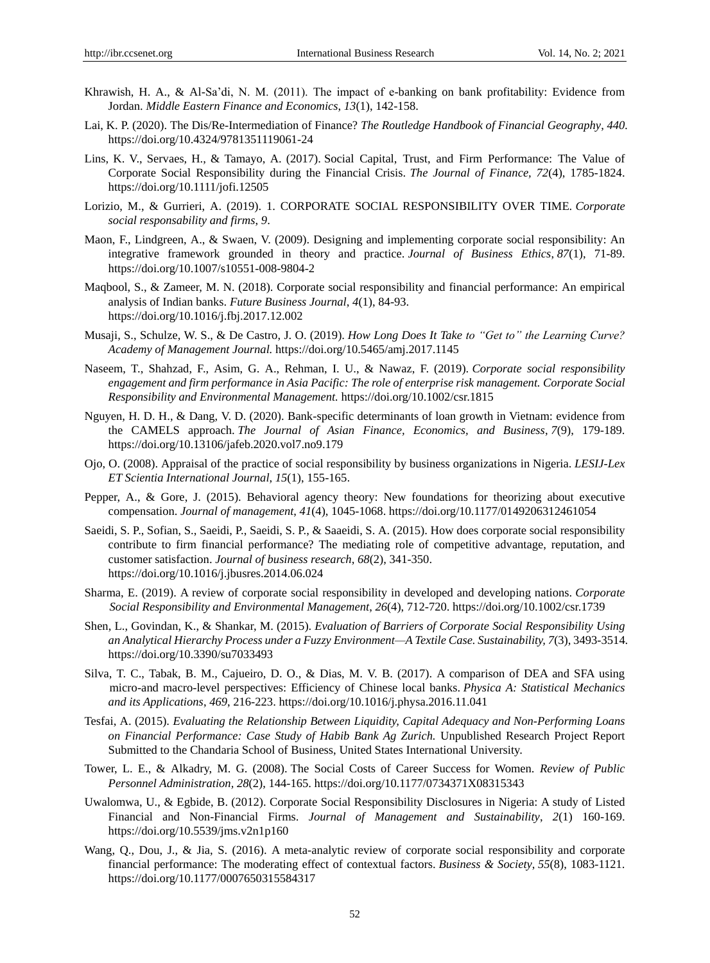- Khrawish, H. A., & Al-Sa'di, N. M. (2011). The impact of e-banking on bank profitability: Evidence from Jordan. *Middle Eastern Finance and Economics*, *13*(1), 142-158.
- Lai, K. P. (2020). The Dis/Re-Intermediation of Finance? *The Routledge Handbook of Financial Geography*, *440.* https://doi.org/10.4324/9781351119061-24
- Lins, K. V., Servaes, H., & Tamayo, A. (2017). Social Capital, Trust, and Firm Performance: The Value of Corporate Social Responsibility during the Financial Crisis. *The Journal of Finance, 72*(4), 1785-1824. https://doi.org/10.1111/jofi.12505
- Lorizio, M., & Gurrieri, A. (2019). 1. CORPORATE SOCIAL RESPONSIBILITY OVER TIME. *Corporate social responsability and firms*, *9*.
- Maon, F., Lindgreen, A., & Swaen, V. (2009). Designing and implementing corporate social responsibility: An integrative framework grounded in theory and practice. *Journal of Business Ethics*, *87*(1), 71-89. https://doi.org/10.1007/s10551-008-9804-2
- Maqbool, S., & Zameer, M. N. (2018). Corporate social responsibility and financial performance: An empirical analysis of Indian banks. *Future Business Journal*, *4*(1), 84-93. https://doi.org/10.1016/j.fbj.2017.12.002
- Musaji, S., Schulze, W. S., & De Castro, J. O. (2019). *How Long Does It Take to "Get to" the Learning Curve? Academy of Management Journal.* https://doi.org/10.5465/amj.2017.1145
- Naseem, T., Shahzad, F., Asim, G. A., Rehman, I. U., & Nawaz, F. (2019). *Corporate social responsibility engagement and firm performance in Asia Pacific: The role of enterprise risk management. Corporate Social Responsibility and Environmental Management.* https://doi.org/10.1002/csr.1815
- Nguyen, H. D. H., & Dang, V. D. (2020). Bank-specific determinants of loan growth in Vietnam: evidence from the CAMELS approach. *The Journal of Asian Finance, Economics, and Business*, *7*(9), 179-189. https://doi.org/10.13106/jafeb.2020.vol7.no9.179
- Ojo, O. (2008). Appraisal of the practice of social responsibility by business organizations in Nigeria. *LESIJ-Lex ET Scientia International Journal*, *15*(1), 155-165.
- Pepper, A., & Gore, J. (2015). Behavioral agency theory: New foundations for theorizing about executive compensation. *Journal of management*, *41*(4), 1045-1068. https://doi.org/10.1177/0149206312461054
- Saeidi, S. P., Sofian, S., Saeidi, P., Saeidi, S. P., & Saaeidi, S. A. (2015). How does corporate social responsibility contribute to firm financial performance? The mediating role of competitive advantage, reputation, and customer satisfaction. *Journal of business research*, *68*(2), 341-350. https://doi.org/10.1016/j.jbusres.2014.06.024
- Sharma, E. (2019). A review of corporate social responsibility in developed and developing nations. *Corporate Social Responsibility and Environmental Management*, *26*(4), 712-720. https://doi.org/10.1002/csr.1739
- Shen, L., Govindan, K., & Shankar, M. (2015). *Evaluation of Barriers of Corporate Social Responsibility Using an Analytical Hierarchy Process under a Fuzzy Environment—A Textile Case. Sustainability, 7*(3), 3493-3514. https://doi.org/10.3390/su7033493
- Silva, T. C., Tabak, B. M., Cajueiro, D. O., & Dias, M. V. B. (2017). A comparison of DEA and SFA using micro-and macro-level perspectives: Efficiency of Chinese local banks. *Physica A: Statistical Mechanics and its Applications*, *469*, 216-223. https://doi.org/10.1016/j.physa.2016.11.041
- Tesfai, A. (2015). *Evaluating the Relationship Between Liquidity, Capital Adequacy and Non-Performing Loans on Financial Performance: Case Study of Habib Bank Ag Zurich.* Unpublished Research Project Report Submitted to the Chandaria School of Business, United States International University.
- Tower, L. E., & Alkadry, M. G. (2008). The Social Costs of Career Success for Women. *Review of Public Personnel Administration, 28*(2), 144-165. https://doi.org/10.1177/0734371X08315343
- Uwalomwa, U., & Egbide, B. (2012). Corporate Social Responsibility Disclosures in Nigeria: A study of Listed Financial and Non-Financial Firms. *Journal of Management and Sustainability*, *2*(1) 160-169. https://doi.org/10.5539/jms.v2n1p160
- Wang, Q., Dou, J., & Jia, S. (2016). A meta-analytic review of corporate social responsibility and corporate financial performance: The moderating effect of contextual factors. *Business & Society*, *55*(8), 1083-1121. https://doi.org/10.1177/0007650315584317